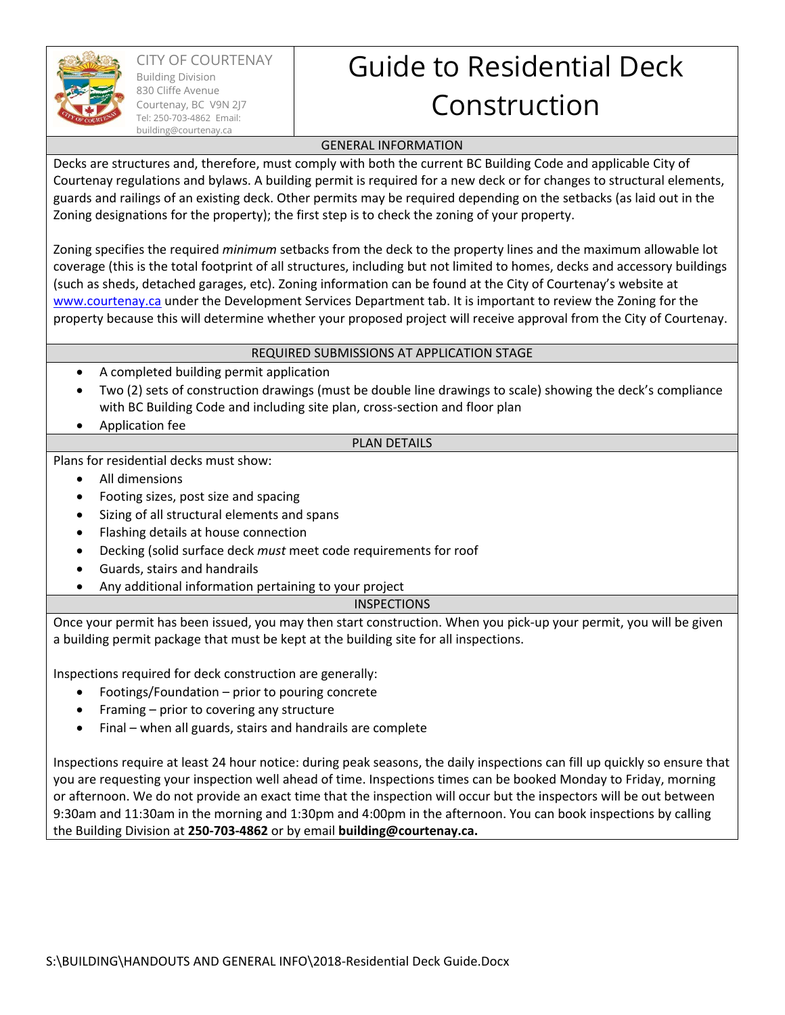

CITY OF COURTENAY Building Division 830 Cliffe Avenue Courtenay, BC V9N 2J7 Tel: 250-703-4862 Email: building@courtenay.ca

# Guide to Residential Deck Construction

### GENERAL INFORMATION

Decks are structures and, therefore, must comply with both the current BC Building Code and applicable City of Courtenay regulations and bylaws. A building permit is required for a new deck or for changes to structural elements, guards and railings of an existing deck. Other permits may be required depending on the setbacks (as laid out in the Zoning designations for the property); the first step is to check the zoning of your property.

Zoning specifies the required *minimum* setbacks from the deck to the property lines and the maximum allowable lot coverage (this is the total footprint of all structures, including but not limited to homes, decks and accessory buildings (such as sheds, detached garages, etc). Zoning information can be found at the City of Courtenay's website at www.courtenay.ca under the Development Services Department tab. It is important to review the Zoning for the property because this will determine whether your proposed project will receive approval from the City of Courtenay.

## REQUIRED SUBMISSIONS AT APPLICATION STAGE

- A completed building permit application
- Two (2) sets of construction drawings (must be double line drawings to scale) showing the deck's compliance with BC Building Code and including site plan, cross-section and floor plan
- Application fee

## PLAN DETAILS

Plans for residential decks must show:

- All dimensions
- Footing sizes, post size and spacing
- Sizing of all structural elements and spans
- Flashing details at house connection
- Decking (solid surface deck *must* meet code requirements for roof
- Guards, stairs and handrails
- Any additional information pertaining to your project

#### INSPECTIONS

Once your permit has been issued, you may then start construction. When you pick‐up your permit, you will be given a building permit package that must be kept at the building site for all inspections.

Inspections required for deck construction are generally:

- Footings/Foundation prior to pouring concrete
- Framing prior to covering any structure
- Final when all guards, stairs and handrails are complete

Inspections require at least 24 hour notice: during peak seasons, the daily inspections can fill up quickly so ensure that you are requesting your inspection well ahead of time. Inspections times can be booked Monday to Friday, morning or afternoon. We do not provide an exact time that the inspection will occur but the inspectors will be out between 9:30am and 11:30am in the morning and 1:30pm and 4:00pm in the afternoon. You can book inspections by calling the Building Division at **250‐703‐4862** or by email **building@courtenay.ca.**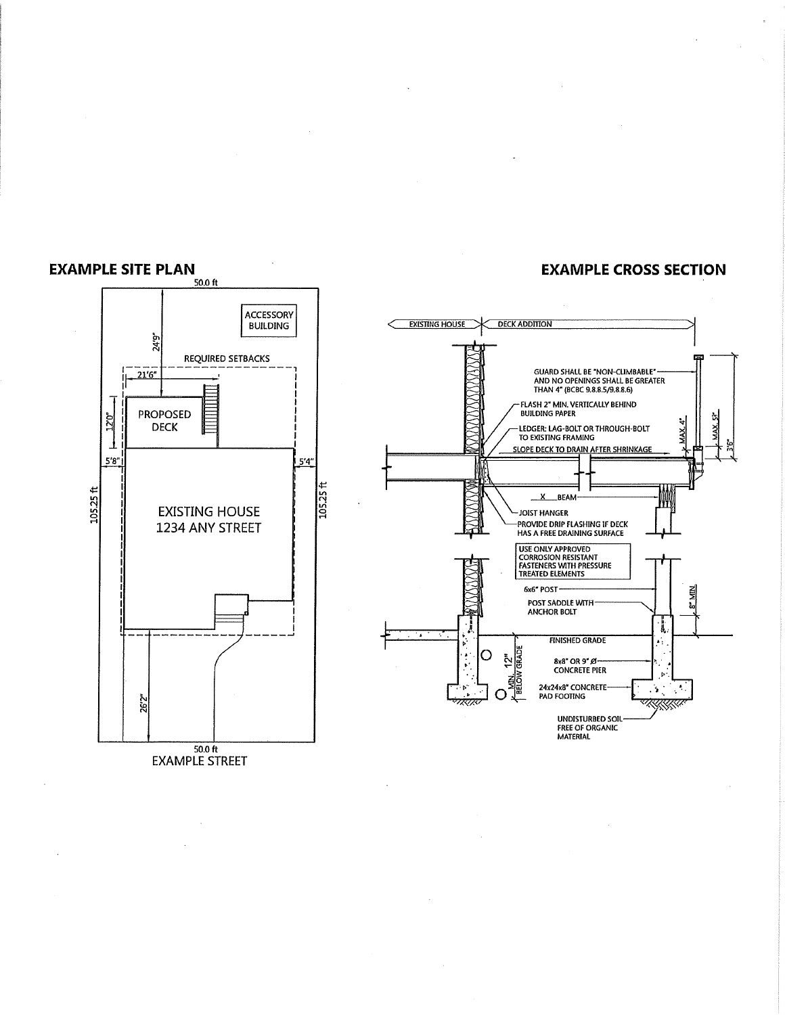

#### **EXAMPLE CROSS SECTION**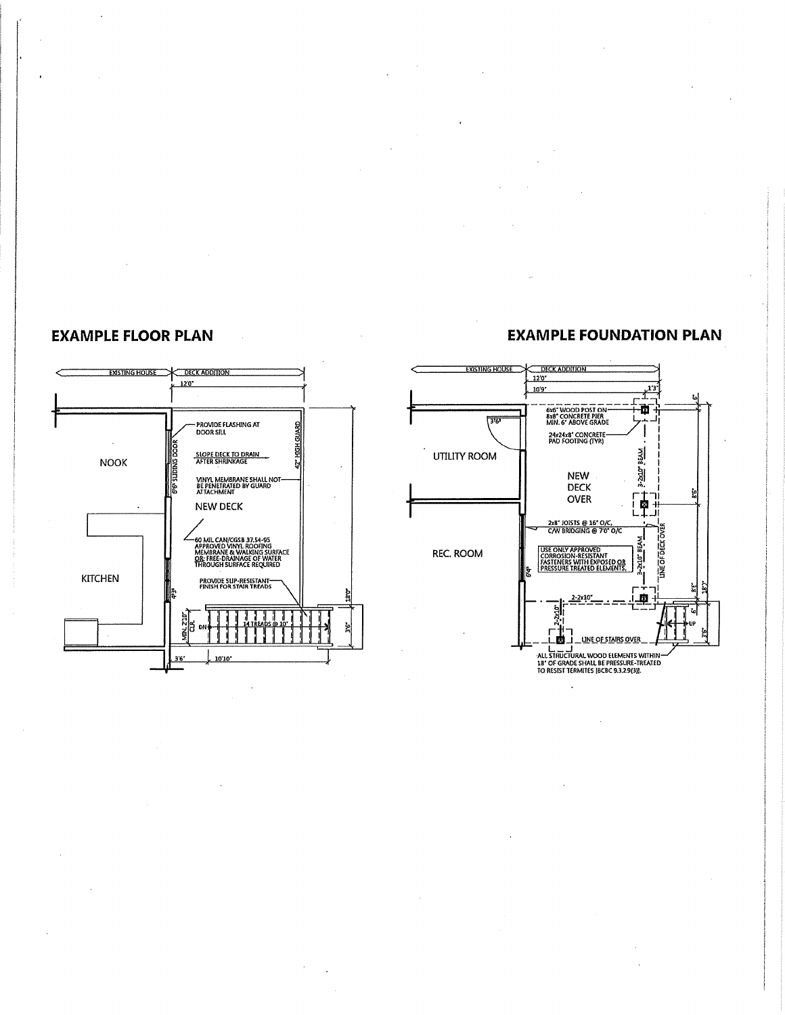# **EXAMPLE FLOOR PLAN**



# **EXAMPLE FOUNDATION PLAN**

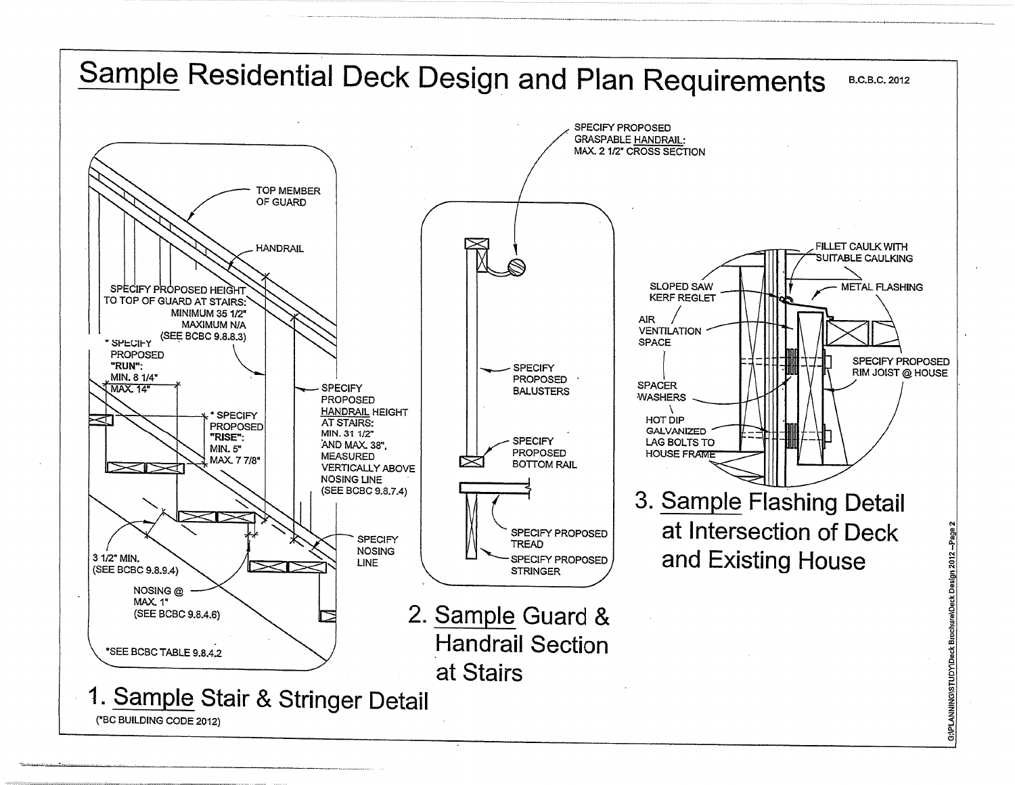